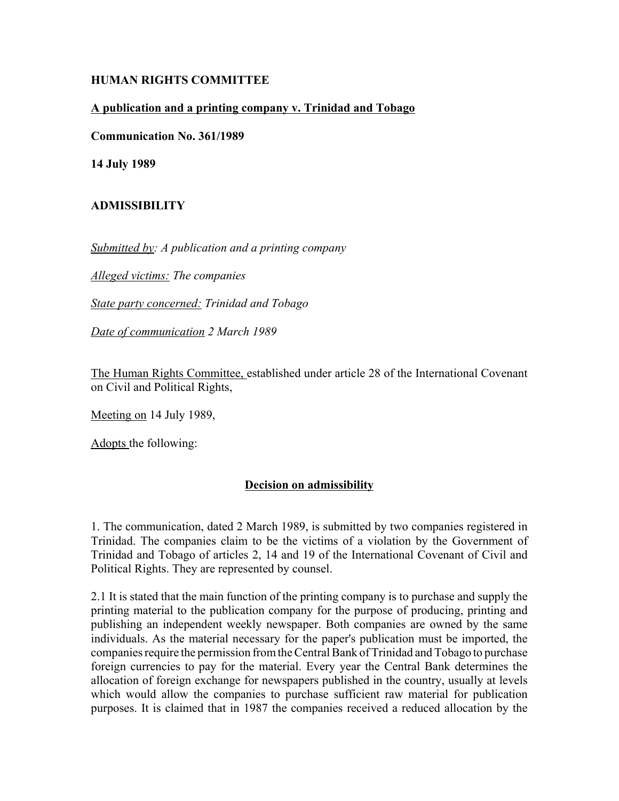# **HUMAN RIGHTS COMMITTEE**

# **A publication and a printing company v. Trinidad and Tobago**

**Communication No. 361/1989**

**14 July 1989**

## **ADMISSIBILITY**

*Submitted by: A publication and a printing company*

*Alleged victims: The companies*

*State party concerned: Trinidad and Tobago*

*Date of communication 2 March 1989*

The Human Rights Committee, established under article 28 of the International Covenant on Civil and Political Rights,

Meeting on 14 July 1989,

Adopts the following:

## **Decision on admissibility**

1. The communication, dated 2 March 1989, is submitted by two companies registered in Trinidad. The companies claim to be the victims of a violation by the Government of Trinidad and Tobago of articles 2, 14 and 19 of the International Covenant of Civil and Political Rights. They are represented by counsel.

2.1 It is stated that the main function of the printing company is to purchase and supply the printing material to the publication company for the purpose of producing, printing and publishing an independent weekly newspaper. Both companies are owned by the same individuals. As the material necessary for the paper's publication must be imported, the companies require the permission from the Central Bank of Trinidad and Tobago to purchase foreign currencies to pay for the material. Every year the Central Bank determines the allocation of foreign exchange for newspapers published in the country, usually at levels which would allow the companies to purchase sufficient raw material for publication purposes. It is claimed that in 1987 the companies received a reduced allocation by the